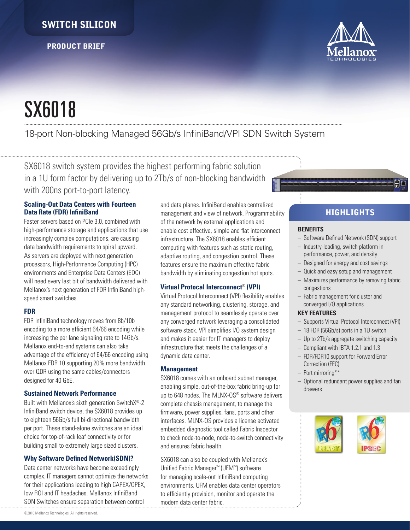# SWITCH SILICON

PRODUCT BRIEF



# SX6018

# 18-port Non-blocking Managed 56Gb/s InfiniBand/VPI SDN Switch System

SX6018 switch system provides the highest performing fabric solution in a 1U form factor by delivering up to 2Tb/s of non-blocking bandwidth with 200ns port-to-port latency.

## **Scaling-Out Data Centers with Fourteen Data Rate (FDR) InfiniBand**

Faster servers based on PCIe 3.0, combined with high-performance storage and applications that use increasingly complex computations, are causing data bandwidth requirements to spiral upward. As servers are deployed with next generation processors, High-Performance Computing (HPC) environments and Enterprise Data Centers (EDC) will need every last bit of bandwidth delivered with Mellanox's next generation of FDR InfiniBand highspeed smart switches.

#### **FDR**

FDR InfiniBand technology moves from 8b/10b encoding to a more efficient 64/66 encoding while increasing the per lane signaling rate to 14Gb/s. Mellanox end-to-end systems can also take advantage of the efficiency of 64/66 encoding using Mellanox FDR 10 supporting 20% more bandwidth over QDR using the same cables/connectors designed for 40 GbE.

#### **Sustained Network Performance**

Built with Mellanox's sixth generation SwitchX®-2 InfiniBand switch device, the SX6018 provides up to eighteen 56Gb/s full bi-directional bandwidth per port. These stand-alone switches are an ideal choice for top-of-rack leaf connectivity or for building small to extremely large sized clusters.

## **Why Software Defined Network(SDN)?**

Data center networks have become exceedingly complex. IT managers cannot optimize the networks for their applications leading to high CAPEX/OPEX, low ROI and IT headaches. Mellanox InfiniBand SDN Switches ensure separation between control

and data planes. InfiniBand enables centralized management and view of network. Programmability of the network by external applications and enable cost effective, simple and flat interconnect infrastructure. The SX6018 enables efficient computing with features such as static routing, adaptive routing, and congestion control. These features ensure the maximum effective fabric bandwidth by eliminating congestion hot spots.

## **Virtual Protocal Interconnect**® **(VPI)**

Virtual Protocol Interconnect (VPI) flexibility enables any standard networking, clustering, storage, and management protocol to seamlessly operate over any converged network leveraging a consolidated software stack. VPI simplifies I/O system design and makes it easier for IT managers to deploy infrastructure that meets the challenges of a dynamic data center.

## **Management**

SX6018 comes with an onboard subnet manager, enabling simple, out-of-the-box fabric bring-up for up to 648 nodes. The MLNX-OS® software delivers complete chassis management, to manage the firmware, power supplies, fans, ports and other interfaces. MLNX-OS provides a license activated embedded diagnostic tool called Fabric Inspector to check node-to-node, node-to-switch connectivity and ensures fabric health.

SX6018 can also be coupled with Mellanox's Unified Fabric Manager™ (UFM™) software for managing scale-out InfiniBand computing environments. UFM enables data center operators to efficiently provision, monitor and operate the modern data center fabric.

# **HIGHLIGHTS**

#### **BENEFITS**

- Software Defined Network (SDN) support
- Industry-leading, switch platform in performance, power, and density
- Designed for energy and cost savings
- Quick and easy setup and management
- Maximizes performance by removing fabric congestions
- Fabric management for cluster and converged I/O applications

#### **KEY FEATURES**

- Supports Virtual Protocol Interconnect (VPI)
- 18 FDR (56Gb/s) ports in a 1U switch
- Up to 2Tb/s aggregate switching capacity
- Compliant with IBTA 1.2.1 and 1.3
- FDR/FDR10 support for Forward Error Correction (FEC)
- Port mirroring\*\*
- Optional redundant power supplies and fan drawers